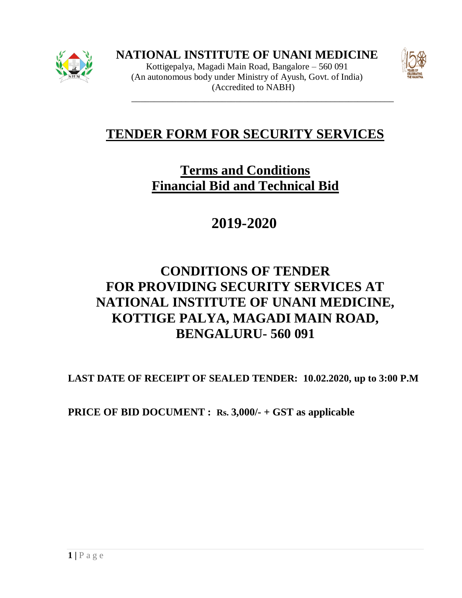

Kottigepalya, Magadi Main Road, Bangalore – 560 091 (An autonomous body under Ministry of Ayush, Govt. of India) (Accredited to NABH)



# **TENDER FORM FOR SECURITY SERVICES**

\_\_\_\_\_\_\_\_\_\_\_\_\_\_\_\_\_\_\_\_\_\_\_\_\_\_\_\_\_\_\_\_\_\_\_\_\_\_\_\_\_\_\_\_\_\_\_\_\_\_\_\_\_\_\_\_\_\_

# **Terms and Conditions Financial Bid and Technical Bid**

**2019-2020**

# **CONDITIONS OF TENDER FOR PROVIDING SECURITY SERVICES AT NATIONAL INSTITUTE OF UNANI MEDICINE, KOTTIGE PALYA, MAGADI MAIN ROAD, BENGALURU- 560 091**

**LAST DATE OF RECEIPT OF SEALED TENDER: 10.02.2020, up to 3:00 P.M**

**PRICE OF BID DOCUMENT : Rs. 3,000/- + GST as applicable**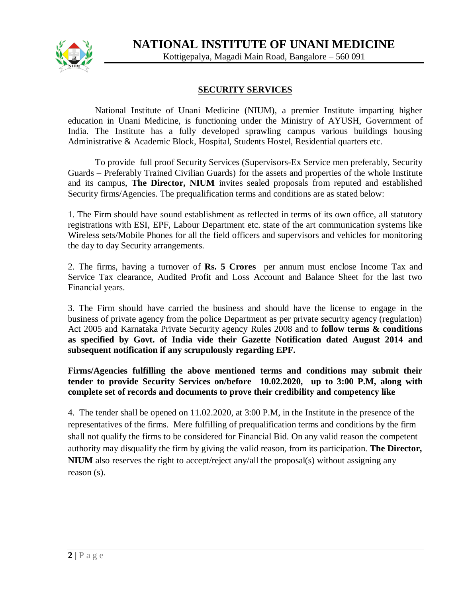

Kottigepalya, Magadi Main Road, Bangalore – 560 091

### **SECURITY SERVICES**

National Institute of Unani Medicine (NIUM), a premier Institute imparting higher education in Unani Medicine, is functioning under the Ministry of AYUSH, Government of India. The Institute has a fully developed sprawling campus various buildings housing Administrative & Academic Block, Hospital, Students Hostel, Residential quarters etc.

To provide full proof Security Services (Supervisors-Ex Service men preferably, Security Guards – Preferably Trained Civilian Guards) for the assets and properties of the whole Institute and its campus, **The Director, NIUM** invites sealed proposals from reputed and established Security firms/Agencies. The prequalification terms and conditions are as stated below:

1. The Firm should have sound establishment as reflected in terms of its own office, all statutory registrations with ESI, EPF, Labour Department etc. state of the art communication systems like Wireless sets/Mobile Phones for all the field officers and supervisors and vehicles for monitoring the day to day Security arrangements.

2. The firms, having a turnover of **Rs. 5 Crores** per annum must enclose Income Tax and Service Tax clearance, Audited Profit and Loss Account and Balance Sheet for the last two Financial years.

3. The Firm should have carried the business and should have the license to engage in the business of private agency from the police Department as per private security agency (regulation) Act 2005 and Karnataka Private Security agency Rules 2008 and to **follow terms & conditions as specified by Govt. of India vide their Gazette Notification dated August 2014 and subsequent notification if any scrupulously regarding EPF.** 

**Firms/Agencies fulfilling the above mentioned terms and conditions may submit their tender to provide Security Services on/before 10.02.2020, up to 3:00 P.M, along with complete set of records and documents to prove their credibility and competency like** 

4. The tender shall be opened on 11.02.2020, at 3:00 P.M, in the Institute in the presence of the representatives of the firms. Mere fulfilling of prequalification terms and conditions by the firm shall not qualify the firms to be considered for Financial Bid. On any valid reason the competent authority may disqualify the firm by giving the valid reason, from its participation. **The Director, NIUM** also reserves the right to accept/reject any/all the proposal(s) without assigning any reason (s).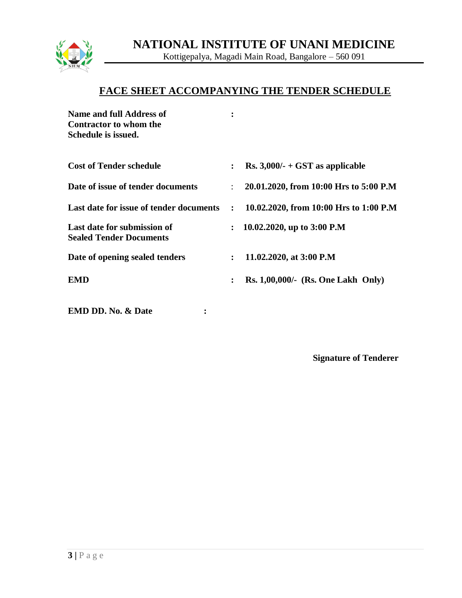

Kottigepalya, Magadi Main Road, Bangalore – 560 091

## **FACE SHEET ACCOMPANYING THE TENDER SCHEDULE**

| Name and full Address of<br><b>Contractor to whom the</b><br>Schedule is issued. |                      |                                           |
|----------------------------------------------------------------------------------|----------------------|-------------------------------------------|
| <b>Cost of Tender schedule</b>                                                   | $\ddot{\phantom{a}}$ | Rs. $3,000/$ - + GST as applicable        |
| Date of issue of tender documents                                                | $\ddot{\phantom{0}}$ | 20.01.2020, from 10:00 Hrs to 5:00 P.M    |
| Last date for issue of tender documents                                          | $\ddot{\cdot}$       | 10.02.2020, from 10:00 Hrs to 1:00 P.M    |
| Last date for submission of<br><b>Sealed Tender Documents</b>                    |                      | 10.02.2020, up to 3:00 P.M                |
| Date of opening sealed tenders                                                   | $\ddot{\cdot}$       | 11.02.2020, at 3:00 P.M                   |
| <b>EMD</b>                                                                       | $\ddot{\cdot}$       | <b>Rs. 1,00,000/- (Rs. One Lakh Only)</b> |
| <b>EMD DD. No. &amp; Date</b><br>$\ddot{\cdot}$                                  |                      |                                           |

**Signature of Tenderer**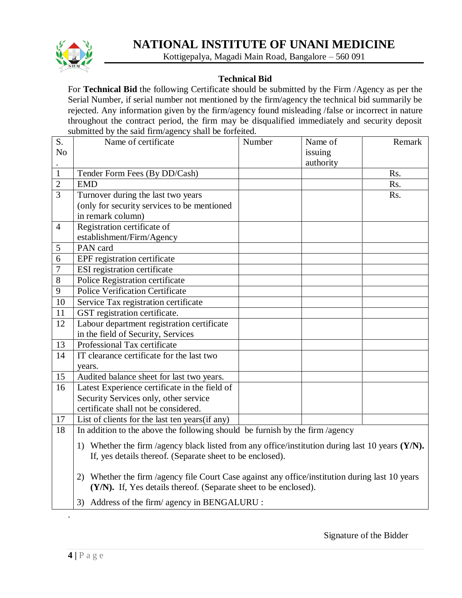

Kottigepalya, Magadi Main Road, Bangalore – 560 091

## **Technical Bid**

For **Technical Bid** the following Certificate should be submitted by the Firm /Agency as per the Serial Number, if serial number not mentioned by the firm/agency the technical bid summarily be rejected. Any information given by the firm/agency found misleading /false or incorrect in nature throughout the contract period, the firm may be disqualified immediately and security deposit submitted by the said firm/agency shall be forfeited.

| $\overline{S}$ .<br>N <sub>o</sub> | Name of certificate                                                                                                                                | Number | Name of<br>issuing | Remark |  |  |
|------------------------------------|----------------------------------------------------------------------------------------------------------------------------------------------------|--------|--------------------|--------|--|--|
|                                    |                                                                                                                                                    |        | authority          |        |  |  |
| $\mathbf{1}$                       | Tender Form Fees (By DD/Cash)                                                                                                                      |        |                    | Rs.    |  |  |
| $\overline{2}$                     | <b>EMD</b>                                                                                                                                         |        |                    | Rs.    |  |  |
| $\overline{3}$                     | Turnover during the last two years                                                                                                                 |        |                    | Rs.    |  |  |
|                                    | (only for security services to be mentioned                                                                                                        |        |                    |        |  |  |
|                                    | in remark column)                                                                                                                                  |        |                    |        |  |  |
| $\overline{4}$                     | Registration certificate of                                                                                                                        |        |                    |        |  |  |
|                                    | establishment/Firm/Agency                                                                                                                          |        |                    |        |  |  |
| 5                                  | PAN card                                                                                                                                           |        |                    |        |  |  |
| 6                                  | EPF registration certificate                                                                                                                       |        |                    |        |  |  |
| $\boldsymbol{7}$                   | <b>ESI</b> registration certificate                                                                                                                |        |                    |        |  |  |
| 8                                  | Police Registration certificate                                                                                                                    |        |                    |        |  |  |
| 9                                  | <b>Police Verification Certificate</b>                                                                                                             |        |                    |        |  |  |
| 10                                 | Service Tax registration certificate                                                                                                               |        |                    |        |  |  |
| 11                                 | GST registration certificate.                                                                                                                      |        |                    |        |  |  |
| 12                                 | Labour department registration certificate                                                                                                         |        |                    |        |  |  |
|                                    | in the field of Security, Services                                                                                                                 |        |                    |        |  |  |
| 13                                 | Professional Tax certificate                                                                                                                       |        |                    |        |  |  |
| 14                                 | IT clearance certificate for the last two                                                                                                          |        |                    |        |  |  |
|                                    | years.                                                                                                                                             |        |                    |        |  |  |
| 15                                 | Audited balance sheet for last two years.                                                                                                          |        |                    |        |  |  |
| 16                                 | Latest Experience certificate in the field of                                                                                                      |        |                    |        |  |  |
|                                    | Security Services only, other service                                                                                                              |        |                    |        |  |  |
|                                    |                                                                                                                                                    |        |                    |        |  |  |
| 17                                 | List of clients for the last ten years (if any)                                                                                                    |        |                    |        |  |  |
|                                    | In addition to the above the following should be furnish by the firm /agency                                                                       |        |                    |        |  |  |
|                                    | 1) Whether the firm /agency black listed from any office/institution during last 10 years (Y/N).                                                   |        |                    |        |  |  |
|                                    |                                                                                                                                                    |        |                    |        |  |  |
|                                    |                                                                                                                                                    |        |                    |        |  |  |
|                                    | 2) Whether the firm /agency file Court Case against any office/institution during last 10 years                                                    |        |                    |        |  |  |
|                                    | (Y/N). If, Yes details thereof. (Separate sheet to be enclosed).                                                                                   |        |                    |        |  |  |
|                                    |                                                                                                                                                    |        |                    |        |  |  |
| 18                                 | certificate shall not be considered.<br>If, yes details thereof. (Separate sheet to be enclosed).<br>3) Address of the firm/ agency in BENGALURU : |        |                    |        |  |  |

.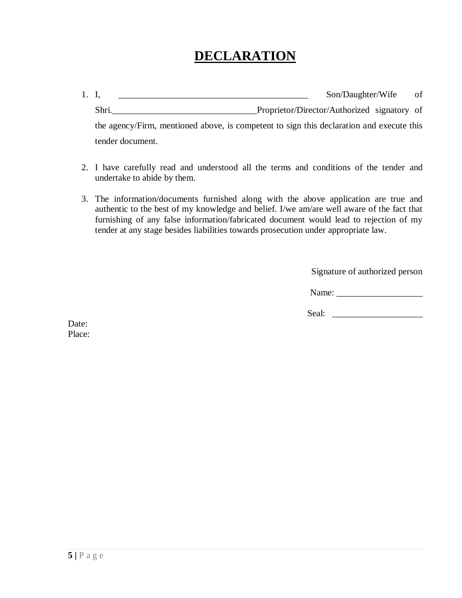## **DECLARATION**

- 1. I, \_\_\_\_\_\_\_\_\_\_\_\_\_\_\_\_\_\_\_\_\_\_\_\_\_\_\_\_\_\_\_\_\_\_\_\_\_\_\_\_\_\_ Son/Daughter/Wife of Shri.\_\_\_\_\_\_\_\_\_\_\_\_\_\_\_\_\_\_\_\_\_\_\_\_\_\_\_\_\_\_\_\_Proprietor/Director/Authorized signatory of the agency/Firm, mentioned above, is competent to sign this declaration and execute this tender document.
- 2. I have carefully read and understood all the terms and conditions of the tender and undertake to abide by them.
- 3. The information/documents furnished along with the above application are true and authentic to the best of my knowledge and belief. I/we am/are well aware of the fact that furnishing of any false information/fabricated document would lead to rejection of my tender at any stage besides liabilities towards prosecution under appropriate law.

Signature of authorized person

Name: \_\_\_\_\_\_\_\_\_\_\_\_\_\_\_\_\_\_\_

Seal: \_\_\_\_\_\_\_\_\_\_\_\_\_\_\_\_\_\_\_\_

Date: Place: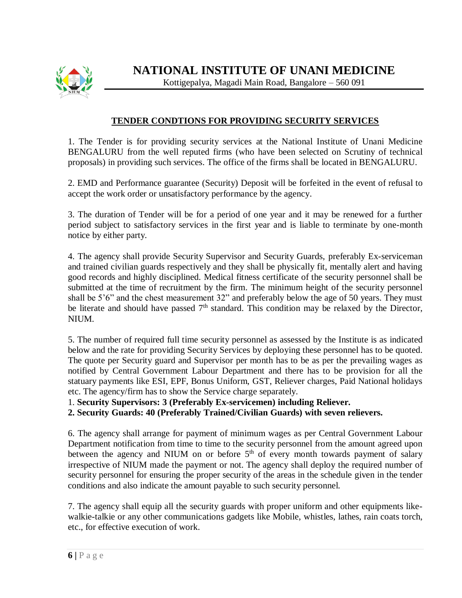

Kottigepalya, Magadi Main Road, Bangalore – 560 091

## **TENDER CONDTIONS FOR PROVIDING SECURITY SERVICES**

1. The Tender is for providing security services at the National Institute of Unani Medicine BENGALURU from the well reputed firms (who have been selected on Scrutiny of technical proposals) in providing such services. The office of the firms shall be located in BENGALURU.

2. EMD and Performance guarantee (Security) Deposit will be forfeited in the event of refusal to accept the work order or unsatisfactory performance by the agency.

3. The duration of Tender will be for a period of one year and it may be renewed for a further period subject to satisfactory services in the first year and is liable to terminate by one-month notice by either party.

4. The agency shall provide Security Supervisor and Security Guards, preferably Ex-serviceman and trained civilian guards respectively and they shall be physically fit, mentally alert and having good records and highly disciplined. Medical fitness certificate of the security personnel shall be submitted at the time of recruitment by the firm. The minimum height of the security personnel shall be 5'6" and the chest measurement 32" and preferably below the age of 50 years. They must be literate and should have passed  $7<sup>th</sup>$  standard. This condition may be relaxed by the Director, NIUM.

5. The number of required full time security personnel as assessed by the Institute is as indicated below and the rate for providing Security Services by deploying these personnel has to be quoted. The quote per Security guard and Supervisor per month has to be as per the prevailing wages as notified by Central Government Labour Department and there has to be provision for all the statuary payments like ESI, EPF, Bonus Uniform, GST, Reliever charges, Paid National holidays etc. The agency/firm has to show the Service charge separately.

1. **Security Supervisors: 3 (Preferably Ex-servicemen) including Reliever.**

**2. Security Guards: 40 (Preferably Trained/Civilian Guards) with seven relievers.**

6. The agency shall arrange for payment of minimum wages as per Central Government Labour Department notification from time to time to the security personnel from the amount agreed upon between the agency and NIUM on or before  $5<sup>th</sup>$  of every month towards payment of salary irrespective of NIUM made the payment or not. The agency shall deploy the required number of security personnel for ensuring the proper security of the areas in the schedule given in the tender conditions and also indicate the amount payable to such security personnel.

7. The agency shall equip all the security guards with proper uniform and other equipments likewalkie-talkie or any other communications gadgets like Mobile, whistles, lathes, rain coats torch, etc., for effective execution of work.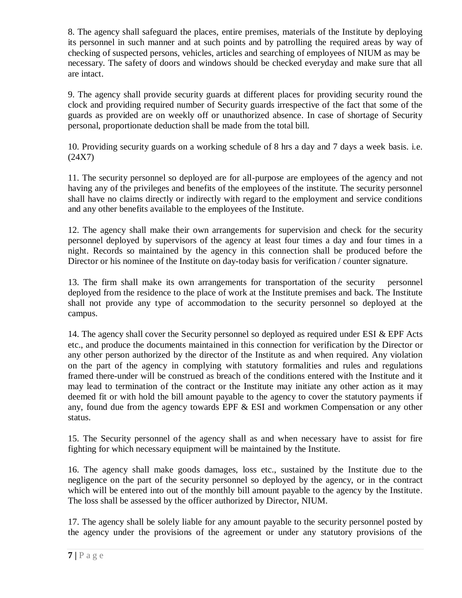8. The agency shall safeguard the places, entire premises, materials of the Institute by deploying its personnel in such manner and at such points and by patrolling the required areas by way of checking of suspected persons, vehicles, articles and searching of employees of NIUM as may be necessary. The safety of doors and windows should be checked everyday and make sure that all are intact.

9. The agency shall provide security guards at different places for providing security round the clock and providing required number of Security guards irrespective of the fact that some of the guards as provided are on weekly off or unauthorized absence. In case of shortage of Security personal, proportionate deduction shall be made from the total bill.

10. Providing security guards on a working schedule of 8 hrs a day and 7 days a week basis. i.e. (24X7)

11. The security personnel so deployed are for all-purpose are employees of the agency and not having any of the privileges and benefits of the employees of the institute. The security personnel shall have no claims directly or indirectly with regard to the employment and service conditions and any other benefits available to the employees of the Institute.

12. The agency shall make their own arrangements for supervision and check for the security personnel deployed by supervisors of the agency at least four times a day and four times in a night. Records so maintained by the agency in this connection shall be produced before the Director or his nominee of the Institute on day-today basis for verification / counter signature.

13. The firm shall make its own arrangements for transportation of the security personnel deployed from the residence to the place of work at the Institute premises and back. The Institute shall not provide any type of accommodation to the security personnel so deployed at the campus.

14. The agency shall cover the Security personnel so deployed as required under ESI & EPF Acts etc., and produce the documents maintained in this connection for verification by the Director or any other person authorized by the director of the Institute as and when required. Any violation on the part of the agency in complying with statutory formalities and rules and regulations framed there-under will be construed as breach of the conditions entered with the Institute and it may lead to termination of the contract or the Institute may initiate any other action as it may deemed fit or with hold the bill amount payable to the agency to cover the statutory payments if any, found due from the agency towards EPF & ESI and workmen Compensation or any other status.

15. The Security personnel of the agency shall as and when necessary have to assist for fire fighting for which necessary equipment will be maintained by the Institute.

16. The agency shall make goods damages, loss etc., sustained by the Institute due to the negligence on the part of the security personnel so deployed by the agency, or in the contract which will be entered into out of the monthly bill amount payable to the agency by the Institute. The loss shall be assessed by the officer authorized by Director, NIUM.

17. The agency shall be solely liable for any amount payable to the security personnel posted by the agency under the provisions of the agreement or under any statutory provisions of the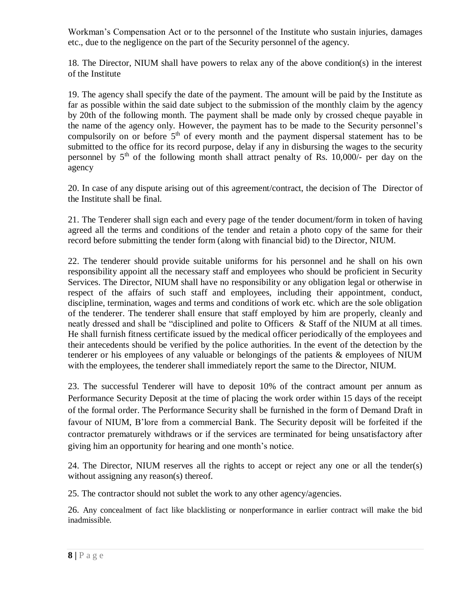Workman's Compensation Act or to the personnel of the Institute who sustain injuries, damages etc., due to the negligence on the part of the Security personnel of the agency.

18. The Director, NIUM shall have powers to relax any of the above condition(s) in the interest of the Institute

19. The agency shall specify the date of the payment. The amount will be paid by the Institute as far as possible within the said date subject to the submission of the monthly claim by the agency by 20th of the following month. The payment shall be made only by crossed cheque payable in the name of the agency only. However, the payment has to be made to the Security personnel's compulsorily on or before  $5<sup>th</sup>$  of every month and the payment dispersal statement has to be submitted to the office for its record purpose, delay if any in disbursing the wages to the security personnel by  $5<sup>th</sup>$  of the following month shall attract penalty of Rs. 10,000/- per day on the agency

20. In case of any dispute arising out of this agreement/contract, the decision of The Director of the Institute shall be final.

21. The Tenderer shall sign each and every page of the tender document/form in token of having agreed all the terms and conditions of the tender and retain a photo copy of the same for their record before submitting the tender form (along with financial bid) to the Director, NIUM.

22. The tenderer should provide suitable uniforms for his personnel and he shall on his own responsibility appoint all the necessary staff and employees who should be proficient in Security Services. The Director, NIUM shall have no responsibility or any obligation legal or otherwise in respect of the affairs of such staff and employees, including their appointment, conduct, discipline, termination, wages and terms and conditions of work etc. which are the sole obligation of the tenderer. The tenderer shall ensure that staff employed by him are properly, cleanly and neatly dressed and shall be "disciplined and polite to Officers & Staff of the NIUM at all times. He shall furnish fitness certificate issued by the medical officer periodically of the employees and their antecedents should be verified by the police authorities. In the event of the detection by the tenderer or his employees of any valuable or belongings of the patients & employees of NIUM with the employees, the tenderer shall immediately report the same to the Director, NIUM.

23. The successful Tenderer will have to deposit 10% of the contract amount per annum as Performance Security Deposit at the time of placing the work order within 15 days of the receipt of the formal order. The Performance Security shall be furnished in the form of Demand Draft in favour of NIUM, B'lore from a commercial Bank. The Security deposit will be forfeited if the contractor prematurely withdraws or if the services are terminated for being unsatisfactory after giving him an opportunity for hearing and one month's notice.

24. The Director, NIUM reserves all the rights to accept or reject any one or all the tender(s) without assigning any reason(s) thereof.

25. The contractor should not sublet the work to any other agency/agencies.

26. Any concealment of fact like blacklisting or nonperformance in earlier contract will make the bid inadmissible.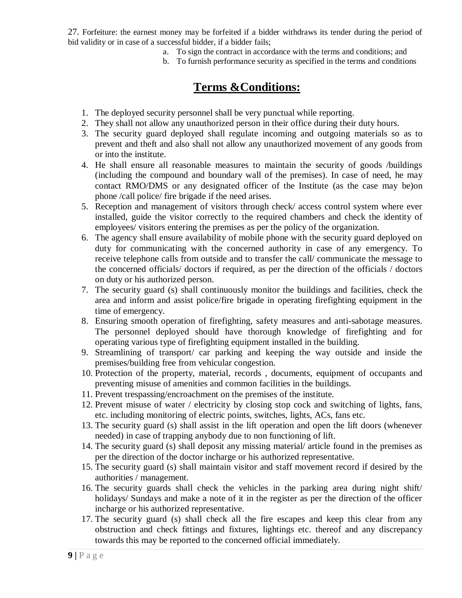27. Forfeiture: the earnest money may be forfeited if a bidder withdraws its tender during the period of bid validity or in case of a successful bidder, if a bidder fails;

- a. To sign the contract in accordance with the terms and conditions; and
- b. To furnish performance security as specified in the terms and conditions

## **Terms &Conditions:**

- 1. The deployed security personnel shall be very punctual while reporting.
- 2. They shall not allow any unauthorized person in their office during their duty hours.
- 3. The security guard deployed shall regulate incoming and outgoing materials so as to prevent and theft and also shall not allow any unauthorized movement of any goods from or into the institute.
- 4. He shall ensure all reasonable measures to maintain the security of goods /buildings (including the compound and boundary wall of the premises). In case of need, he may contact RMO/DMS or any designated officer of the Institute (as the case may be)on phone /call police/ fire brigade if the need arises.
- 5. Reception and management of visitors through check/ access control system where ever installed, guide the visitor correctly to the required chambers and check the identity of employees/ visitors entering the premises as per the policy of the organization.
- 6. The agency shall ensure availability of mobile phone with the security guard deployed on duty for communicating with the concerned authority in case of any emergency. To receive telephone calls from outside and to transfer the call/ communicate the message to the concerned officials/ doctors if required, as per the direction of the officials / doctors on duty or his authorized person.
- 7. The security guard (s) shall continuously monitor the buildings and facilities, check the area and inform and assist police/fire brigade in operating firefighting equipment in the time of emergency.
- 8. Ensuring smooth operation of firefighting, safety measures and anti-sabotage measures. The personnel deployed should have thorough knowledge of firefighting and for operating various type of firefighting equipment installed in the building.
- 9. Streamlining of transport/ car parking and keeping the way outside and inside the premises/building free from vehicular congestion.
- 10. Protection of the property, material, records , documents, equipment of occupants and preventing misuse of amenities and common facilities in the buildings.
- 11. Prevent trespassing/encroachment on the premises of the institute.
- 12. Prevent misuse of water / electricity by closing stop cock and switching of lights, fans, etc. including monitoring of electric points, switches, lights, ACs, fans etc.
- 13. The security guard (s) shall assist in the lift operation and open the lift doors (whenever needed) in case of trapping anybody due to non functioning of lift.
- 14. The security guard (s) shall deposit any missing material/ article found in the premises as per the direction of the doctor incharge or his authorized representative.
- 15. The security guard (s) shall maintain visitor and staff movement record if desired by the authorities / management.
- 16. The security guards shall check the vehicles in the parking area during night shift/ holidays/ Sundays and make a note of it in the register as per the direction of the officer incharge or his authorized representative.
- 17. The security guard (s) shall check all the fire escapes and keep this clear from any obstruction and check fittings and fixtures, lightings etc. thereof and any discrepancy towards this may be reported to the concerned official immediately.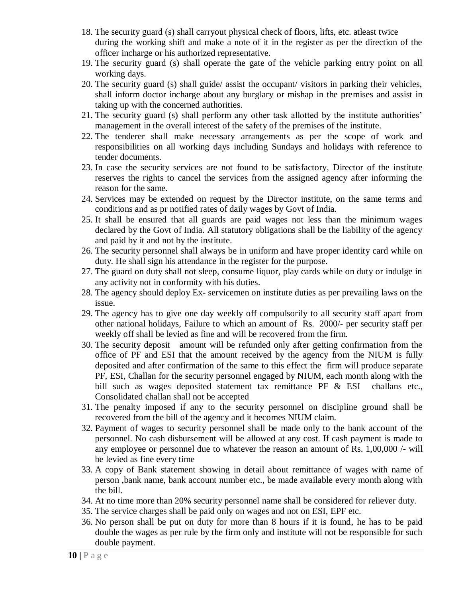- 18. The security guard (s) shall carryout physical check of floors, lifts, etc. atleast twice during the working shift and make a note of it in the register as per the direction of the officer incharge or his authorized representative.
- 19. The security guard (s) shall operate the gate of the vehicle parking entry point on all working days.
- 20. The security guard (s) shall guide/ assist the occupant/ visitors in parking their vehicles, shall inform doctor incharge about any burglary or mishap in the premises and assist in taking up with the concerned authorities.
- 21. The security guard (s) shall perform any other task allotted by the institute authorities' management in the overall interest of the safety of the premises of the institute.
- 22. The tenderer shall make necessary arrangements as per the scope of work and responsibilities on all working days including Sundays and holidays with reference to tender documents.
- 23. In case the security services are not found to be satisfactory, Director of the institute reserves the rights to cancel the services from the assigned agency after informing the reason for the same.
- 24. Services may be extended on request by the Director institute, on the same terms and conditions and as pr notified rates of daily wages by Govt of India.
- 25. It shall be ensured that all guards are paid wages not less than the minimum wages declared by the Govt of India. All statutory obligations shall be the liability of the agency and paid by it and not by the institute.
- 26. The security personnel shall always be in uniform and have proper identity card while on duty. He shall sign his attendance in the register for the purpose.
- 27. The guard on duty shall not sleep, consume liquor, play cards while on duty or indulge in any activity not in conformity with his duties.
- 28. The agency should deploy Ex- servicemen on institute duties as per prevailing laws on the issue.
- 29. The agency has to give one day weekly off compulsorily to all security staff apart from other national holidays, Failure to which an amount of Rs. 2000/- per security staff per weekly off shall be levied as fine and will be recovered from the firm.
- 30. The security deposit amount will be refunded only after getting confirmation from the office of PF and ESI that the amount received by the agency from the NIUM is fully deposited and after confirmation of the same to this effect the firm will produce separate PF, ESI, Challan for the security personnel engaged by NIUM, each month along with the bill such as wages deposited statement tax remittance PF & ESI challans etc., Consolidated challan shall not be accepted
- 31. The penalty imposed if any to the security personnel on discipline ground shall be recovered from the bill of the agency and it becomes NIUM claim.
- 32. Payment of wages to security personnel shall be made only to the bank account of the personnel. No cash disbursement will be allowed at any cost. If cash payment is made to any employee or personnel due to whatever the reason an amount of Rs. 1,00,000 /- will be levied as fine every time
- 33. A copy of Bank statement showing in detail about remittance of wages with name of person ,bank name, bank account number etc., be made available every month along with the bill.
- 34. At no time more than 20% security personnel name shall be considered for reliever duty.
- 35. The service charges shall be paid only on wages and not on ESI, EPF etc.
- 36. No person shall be put on duty for more than 8 hours if it is found, he has to be paid double the wages as per rule by the firm only and institute will not be responsible for such double payment.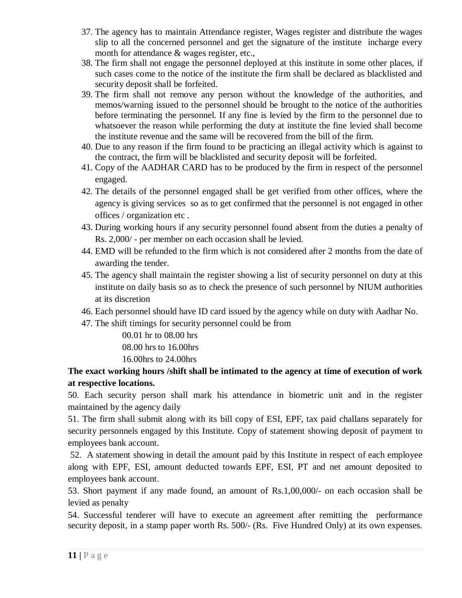- 37. The agency has to maintain Attendance register, Wages register and distribute the wages slip to all the concerned personnel and get the signature of the institute incharge every month for attendance  $\&$  wages register, etc.,
- 38. The firm shall not engage the personnel deployed at this institute in some other places, if such cases come to the notice of the institute the firm shall be declared as blacklisted and security deposit shall be forfeited.
- 39. The firm shall not remove any person without the knowledge of the authorities, and memos/warning issued to the personnel should be brought to the notice of the authorities before terminating the personnel. If any fine is levied by the firm to the personnel due to whatsoever the reason while performing the duty at institute the fine levied shall become the institute revenue and the same will be recovered from the bill of the firm.
- 40. Due to any reason if the firm found to be practicing an illegal activity which is against to the contract, the firm will be blacklisted and security deposit will be forfeited.
- 41. Copy of the AADHAR CARD has to be produced by the firm in respect of the personnel engaged.
- 42. The details of the personnel engaged shall be get verified from other offices, where the agency is giving services so as to get confirmed that the personnel is not engaged in other offices / organization etc .
- 43. During working hours if any security personnel found absent from the duties a penalty of Rs. 2,000/ - per member on each occasion shall be levied.
- 44. EMD will be refunded to the firm which is not considered after 2 months from the date of awarding the tender.
- 45. The agency shall maintain the register showing a list of security personnel on duty at this institute on daily basis so as to check the presence of such personnel by NIUM authorities at its discretion
- 46. Each personnel should have ID card issued by the agency while on duty with Aadhar No.
- 47. The shift timings for security personnel could be from

00.01 hr to 08.00 hrs 08.00 hrs to 16.00hrs 16.00hrs to 24.00hrs

## **The exact working hours /shift shall be intimated to the agency at time of execution of work at respective locations.**

50. Each security person shall mark his attendance in biometric unit and in the register maintained by the agency daily

51. The firm shall submit along with its bill copy of ESI, EPF, tax paid challans separately for security personnels engaged by this Institute. Copy of statement showing deposit of payment to employees bank account.

52. A statement showing in detail the amount paid by this Institute in respect of each employee along with EPF, ESI, amount deducted towards EPF, ESI, PT and net amount deposited to employees bank account.

53. Short payment if any made found, an amount of Rs.1,00,000/- on each occasion shall be levied as penalty

54. Successful tenderer will have to execute an agreement after remitting the performance security deposit, in a stamp paper worth Rs. 500/- (Rs. Five Hundred Only) at its own expenses.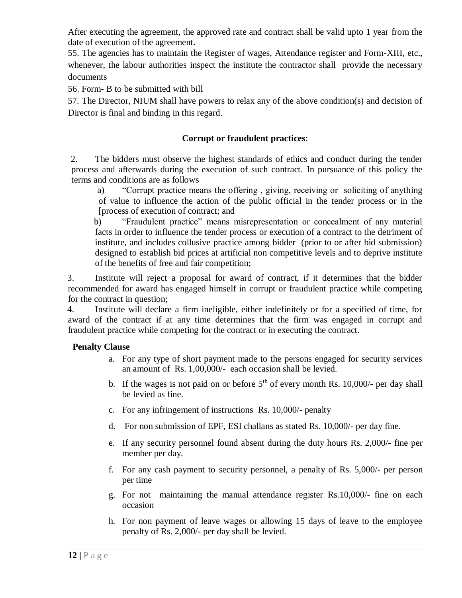After executing the agreement, the approved rate and contract shall be valid upto 1 year from the date of execution of the agreement.

55. The agencies has to maintain the Register of wages, Attendance register and Form-XIII, etc., whenever, the labour authorities inspect the institute the contractor shall provide the necessary documents

56. Form- B to be submitted with bill

57. The Director, NIUM shall have powers to relax any of the above condition(s) and decision of Director is final and binding in this regard.

## **Corrupt or fraudulent practices**:

2. The bidders must observe the highest standards of ethics and conduct during the tender process and afterwards during the execution of such contract. In pursuance of this policy the terms and conditions are as follows

a) "Corrupt practice means the offering , giving, receiving or soliciting of anything of value to influence the action of the public official in the tender process or in the [process of execution of contract; and

b) "Fraudulent practice" means misrepresentation or concealment of any material facts in order to influence the tender process or execution of a contract to the detriment of institute, and includes collusive practice among bidder (prior to or after bid submission) designed to establish bid prices at artificial non competitive levels and to deprive institute of the benefits of free and fair competition;

3. Institute will reject a proposal for award of contract, if it determines that the bidder recommended for award has engaged himself in corrupt or fraudulent practice while competing for the contract in question;

4. Institute will declare a firm ineligible, either indefinitely or for a specified of time, for award of the contract if at any time determines that the firm was engaged in corrupt and fraudulent practice while competing for the contract or in executing the contract.

### **Penalty Clause**

- a. For any type of short payment made to the persons engaged for security services an amount of Rs. 1,00,000/- each occasion shall be levied.
- b. If the wages is not paid on or before  $5<sup>th</sup>$  of every month Rs. 10,000/- per day shall be levied as fine.
- c. For any infringement of instructions Rs. 10,000/- penalty
- d. For non submission of EPF, ESI challans as stated Rs. 10,000/- per day fine.
- e. If any security personnel found absent during the duty hours Rs. 2,000/- fine per member per day.
- f. For any cash payment to security personnel, a penalty of Rs. 5,000/- per person per time
- g. For not maintaining the manual attendance register Rs.10,000/- fine on each occasion
- h. For non payment of leave wages or allowing 15 days of leave to the employee penalty of Rs. 2,000/- per day shall be levied.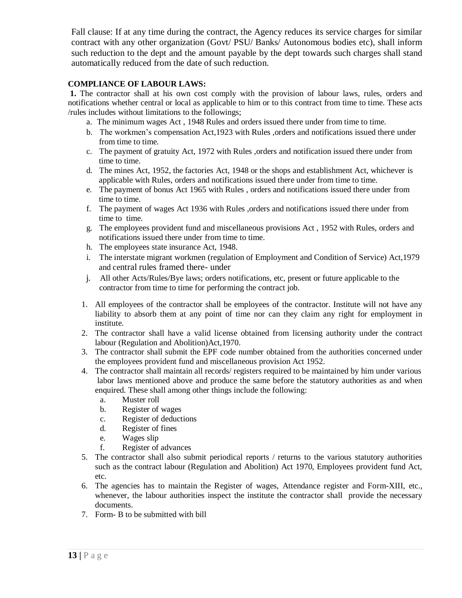Fall clause: If at any time during the contract, the Agency reduces its service charges for similar contract with any other organization (Govt/ PSU/ Banks/ Autonomous bodies etc), shall inform such reduction to the dept and the amount payable by the dept towards such charges shall stand automatically reduced from the date of such reduction.

### **COMPLIANCE OF LABOUR LAWS:**

**1.** The contractor shall at his own cost comply with the provision of labour laws, rules, orders and notifications whether central or local as applicable to him or to this contract from time to time. These acts /rules includes without limitations to the followings;

- a. The minimum wages Act , 1948 Rules and orders issued there under from time to time.
- b. The workmen's compensation Act,1923 with Rules ,orders and notifications issued there under from time to time.
- c. The payment of gratuity Act, 1972 with Rules ,orders and notification issued there under from time to time.
- d. The mines Act, 1952, the factories Act, 1948 or the shops and establishment Act, whichever is applicable with Rules, orders and notifications issued there under from time to time.
- e. The payment of bonus Act 1965 with Rules , orders and notifications issued there under from time to time.
- f. The payment of wages Act 1936 with Rules ,orders and notifications issued there under from time to time.
- g. The employees provident fund and miscellaneous provisions Act , 1952 with Rules, orders and notifications issued there under from time to time.
- h. The employees state insurance Act, 1948.
- i. The interstate migrant workmen (regulation of Employment and Condition of Service) Act,1979 and central rules framed there- under
- j. All other Acts/Rules/Bye laws; orders notifications, etc, present or future applicable to the contractor from time to time for performing the contract job.
- 1. All employees of the contractor shall be employees of the contractor. Institute will not have any liability to absorb them at any point of time nor can they claim any right for employment in institute.
- 2. The contractor shall have a valid license obtained from licensing authority under the contract labour (Regulation and Abolition)Act,1970.
- 3. The contractor shall submit the EPF code number obtained from the authorities concerned under the employees provident fund and miscellaneous provision Act 1952.
- 4. The contractor shall maintain all records/ registers required to be maintained by him under various labor laws mentioned above and produce the same before the statutory authorities as and when enquired. These shall among other things include the following:
	- a. Muster roll
	- b. Register of wages
	- c. Register of deductions
	- d. Register of fines
	- e. Wages slip
	- f. Register of advances
- 5. The contractor shall also submit periodical reports / returns to the various statutory authorities such as the contract labour (Regulation and Abolition) Act 1970, Employees provident fund Act, etc.
- 6. The agencies has to maintain the Register of wages, Attendance register and Form-XIII, etc., whenever, the labour authorities inspect the institute the contractor shall provide the necessary documents.
- 7. Form- B to be submitted with bill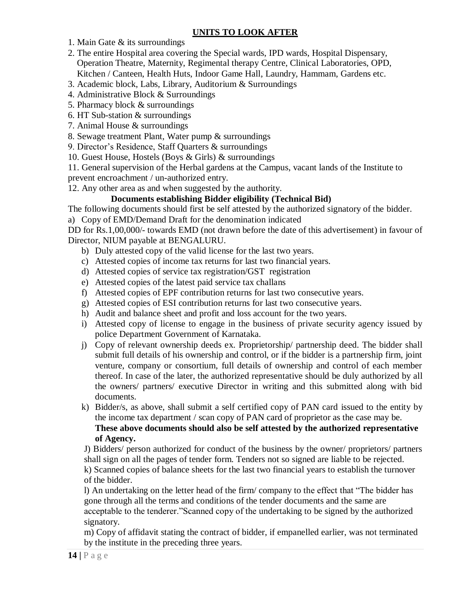## **UNITS TO LOOK AFTER**

1. Main Gate & its surroundings

- 2. The entire Hospital area covering the Special wards, IPD wards, Hospital Dispensary, Operation Theatre, Maternity, Regimental therapy Centre, Clinical Laboratories, OPD, Kitchen / Canteen, Health Huts, Indoor Game Hall, Laundry, Hammam, Gardens etc.
- 3. Academic block, Labs, Library, Auditorium & Surroundings
- 4. Administrative Block & Surroundings
- 5. Pharmacy block & surroundings
- 6. HT Sub-station & surroundings
- 7. Animal House & surroundings
- 8. Sewage treatment Plant, Water pump & surroundings
- 9. Director's Residence, Staff Quarters & surroundings
- 10. Guest House, Hostels (Boys & Girls) & surroundings

11. General supervision of the Herbal gardens at the Campus, vacant lands of the Institute to prevent encroachment / un-authorized entry.

12. Any other area as and when suggested by the authority.

## **Documents establishing Bidder eligibility (Technical Bid)**

The following documents should first be self attested by the authorized signatory of the bidder.

a) Copy of EMD/Demand Draft for the denomination indicated

DD for Rs.1,00,000/- towards EMD (not drawn before the date of this advertisement) in favour of Director, NIUM payable at BENGALURU.

- b) Duly attested copy of the valid license for the last two years.
- c) Attested copies of income tax returns for last two financial years.
- d) Attested copies of service tax registration/GST registration
- e) Attested copies of the latest paid service tax challans
- f) Attested copies of EPF contribution returns for last two consecutive years.
- g) Attested copies of ESI contribution returns for last two consecutive years.
- h) Audit and balance sheet and profit and loss account for the two years.
- i) Attested copy of license to engage in the business of private security agency issued by police Department Government of Karnataka.
- j) Copy of relevant ownership deeds ex. Proprietorship/ partnership deed. The bidder shall submit full details of his ownership and control, or if the bidder is a partnership firm, joint venture, company or consortium, full details of ownership and control of each member thereof. In case of the later, the authorized representative should be duly authorized by all the owners/ partners/ executive Director in writing and this submitted along with bid documents.
- k) Bidder/s, as above, shall submit a self certified copy of PAN card issued to the entity by the income tax department / scan copy of PAN card of proprietor as the case may be. **These above documents should also be self attested by the authorized representative of Agency.**

J) Bidders/ person authorized for conduct of the business by the owner/ proprietors/ partners shall sign on all the pages of tender form. Tenders not so signed are liable to be rejected. k) Scanned copies of balance sheets for the last two financial years to establish the turnover of the bidder.

l) An undertaking on the letter head of the firm/ company to the effect that "The bidder has gone through all the terms and conditions of the tender documents and the same are acceptable to the tenderer."Scanned copy of the undertaking to be signed by the authorized signatory.

m) Copy of affidavit stating the contract of bidder, if empanelled earlier, was not terminated by the institute in the preceding three years.